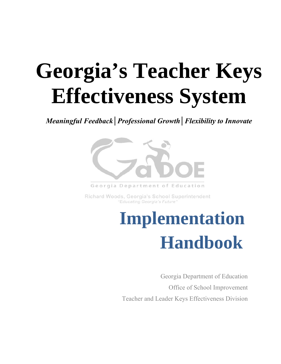# **Georgia's Teacher Keys Effectiveness System**

*Meaningful Feedback│Professional Growth│Flexibility to Innovate* 



Georgia Department of Education

Richard Woods, Georgia's School Superintendent 'Educating Georgia's Future'

## **Implementation Handbook**

Georgia Department of Education Office of School Improvement Teacher and Leader Keys Effectiveness Division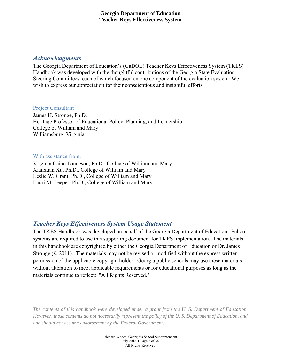## *Acknowledgments*

The Georgia Department of Education's (GaDOE) Teacher Keys Effectiveness System (TKES) Handbook was developed with the thoughtful contributions of the Georgia State Evaluation Steering Committees, each of which focused on one component of the evaluation system. We wish to express our appreciation for their conscientious and insightful efforts.

#### Project Consultant

James H. Stronge, Ph.D. Heritage Professor of Educational Policy, Planning, and Leadership College of William and Mary Williamsburg, Virginia

#### With assistance from:

Virginia Caine Tonneson, Ph.D., College of William and Mary Xianxuan Xu, Ph.D., College of William and Mary Leslie W. Grant, Ph.D., College of William and Mary Lauri M. Leeper, Ph.D., College of William and Mary

## *Teacher Keys Effectiveness System Usage Statement*

The TKES Handbook was developed on behalf of the Georgia Department of Education. School systems are required to use this supporting document for TKES implementation. The materials in this handbook are copyrighted by either the Georgia Department of Education or Dr. James Stronge (© 2011). The materials may not be revised or modified without the express written permission of the applicable copyright holder. Georgia public schools may use these materials without alteration to meet applicable requirements or for educational purposes as long as the materials continue to reflect: "All Rights Reserved."

*The contents of this handbook were developed under a grant from the U. S. Department of Education. However, those contents do not necessarily represent the policy of the U. S. Department of Education, and one should not assume endorsement by the Federal Government.* 

> Richard Woods, Georgia's School Superintendent July 2016 ● Page 2 of 34 All Rights Reserved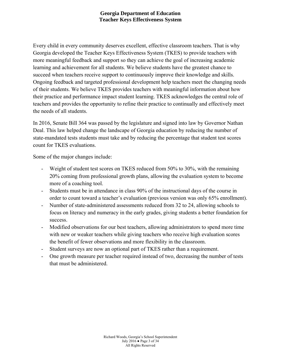Every child in every community deserves excellent, effective classroom teachers. That is why Georgia developed the Teacher Keys Effectiveness System (TKES) to provide teachers with more meaningful feedback and support so they can achieve the goal of increasing academic learning and achievement for all students. We believe students have the greatest chance to succeed when teachers receive support to continuously improve their knowledge and skills. Ongoing feedback and targeted professional development help teachers meet the changing needs of their students. We believe TKES provides teachers with meaningful information about how their practice and performance impact student learning. TKES acknowledges the central role of teachers and provides the opportunity to refine their practice to continually and effectively meet the needs of all students.

In 2016, Senate Bill 364 was passed by the legislature and signed into law by Governor Nathan Deal. This law helped change the landscape of Georgia education by reducing the number of state-mandated tests students must take and by reducing the percentage that student test scores count for TKES evaluations.

Some of the major changes include:

- Weight of student test scores on TKES reduced from 50% to 30%, with the remaining 20% coming from professional growth plans, allowing the evaluation system to become more of a coaching tool.
- Students must be in attendance in class 90% of the instructional days of the course in order to count toward a teacher's evaluation (previous version was only 65% enrollment).
- Number of state-administered assessments reduced from 32 to 24, allowing schools to focus on literacy and numeracy in the early grades, giving students a better foundation for success.
- Modified observations for our best teachers, allowing administrators to spend more time with new or weaker teachers while giving teachers who receive high evaluation scores the benefit of fewer observations and more flexibility in the classroom.
- Student surveys are now an optional part of TKES rather than a requirement.
- One growth measure per teacher required instead of two, decreasing the number of tests that must be administered.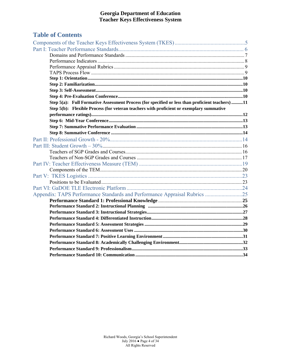## **Table of Contents**

| Step 5(a): Full Formative Assessment Process (for specified or less than proficient teachers) 11 |  |
|--------------------------------------------------------------------------------------------------|--|
| Step 5(b): Flexible Process (for veteran teachers with proficient or exemplary summative         |  |
|                                                                                                  |  |
|                                                                                                  |  |
|                                                                                                  |  |
|                                                                                                  |  |
|                                                                                                  |  |
|                                                                                                  |  |
|                                                                                                  |  |
|                                                                                                  |  |
|                                                                                                  |  |
|                                                                                                  |  |
|                                                                                                  |  |
|                                                                                                  |  |
|                                                                                                  |  |
| Appendix: TAPS Performance Standards and Performance Appraisal Rubrics 25                        |  |
|                                                                                                  |  |
|                                                                                                  |  |
|                                                                                                  |  |
|                                                                                                  |  |
|                                                                                                  |  |
|                                                                                                  |  |
|                                                                                                  |  |
|                                                                                                  |  |
|                                                                                                  |  |
|                                                                                                  |  |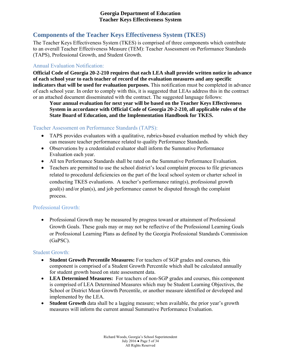## **Components of the Teacher Keys Effectiveness System (TKES)**

The Teacher Keys Effectiveness System (TKES) is comprised of three components which contribute to an overall Teacher Effectiveness Measure (TEM): Teacher Assessment on Performance Standards (TAPS), Professional Growth, and Student Growth.

## Annual Evaluation Notification:

**Official Code of Georgia 20-2-210 requires that each LEA shall provide written notice in advance of each school year to each teacher of record of the evaluation measures and any specific indicators that will be used for evaluation purposes.** This notification must be completed in advance of each school year. In order to comply with this, it is suggested that LEAs address this in the contract or an attached document disseminated with the contract. The suggested language follows:

**Your annual evaluation for next year will be based on the Teacher Keys Effectiveness System in accordance with Official Code of Georgia 20-2-210, all applicable rules of the State Board of Education, and the Implementation Handbook for TKES.**

#### Teacher Assessment on Performance Standards (TAPS):

- TAPS provides evaluators with a qualitative, rubrics-based evaluation method by which they can measure teacher performance related to quality Performance Standards.
- Observations by a credentialed evaluator shall inform the Summative Performance Evaluation each year.
- All ten Performance Standards shall be rated on the Summative Performance Evaluation.
- Teachers are permitted to use the school district's local complaint process to file grievances related to procedural deficiencies on the part of the local school system or charter school in conducting TKES evaluations. A teacher's performance rating(s), professional growth goal(s) and/or plan(s), and job performance cannot be disputed through the complaint process.

#### Professional Growth:

• Professional Growth may be measured by progress toward or attainment of Professional Growth Goals. These goals may or may not be reflective of the Professional Learning Goals or Professional Learning Plans as defined by the Georgia Professional Standards Commission (GaPSC).

#### Student Growth:

- **Student Growth Percentile Measures:** For teachers of SGP grades and courses, this component is comprised of a Student Growth Percentile which shall be calculated annually for student growth based on state assessment data.
- **LEA Determined Measures:** For teachers of non-SGP grades and courses, this component is comprised of LEA Determined Measures which may be Student Learning Objectives, the School or District Mean Growth Percentile, or another measure identified or developed and implemented by the LEA.
- **Student Growth** data shall be a lagging measure; when available, the prior year's growth measures will inform the current annual Summative Performance Evaluation.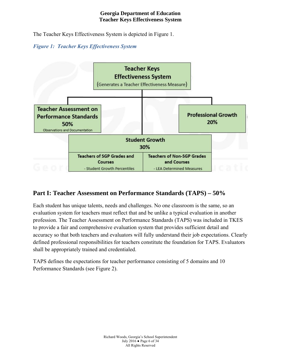The Teacher Keys Effectiveness System is depicted in Figure 1.

## *Figure 1: Teacher Keys Effectiveness System*



## **Part I: Teacher Assessment on Performance Standards (TAPS) – 50%**

Each student has unique talents, needs and challenges. No one classroom is the same, so an evaluation system for teachers must reflect that and be unlike a typical evaluation in another profession. The Teacher Assessment on Performance Standards (TAPS) was included in TKES to provide a fair and comprehensive evaluation system that provides sufficient detail and accuracy so that both teachers and evaluators will fully understand their job expectations. Clearly defined professional responsibilities for teachers constitute the foundation for TAPS. Evaluators shall be appropriately trained and credentialed.

TAPS defines the expectations for teacher performance consisting of 5 domains and 10 Performance Standards (see Figure 2).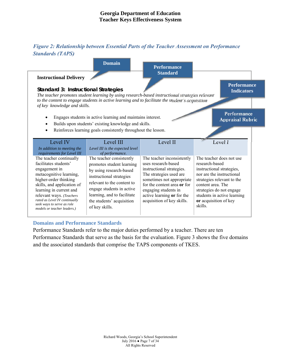## *Figure 2: Relationship between Essential Parts of the Teacher Assessment on Performance Standards (TAPS)*



#### **Domains and Performance Standards**

Performance Standards refer to the major duties performed by a teacher. There are ten Performance Standards that serve as the basis for the evaluation. Figure 3 shows the five domains and the associated standards that comprise the TAPS components of TKES.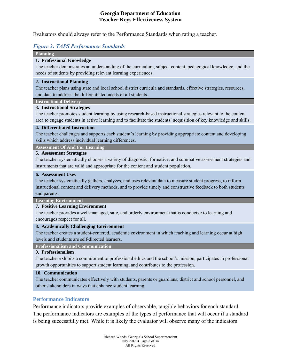Evaluators should always refer to the Performance Standards when rating a teacher.

#### *Figure 3: TAPS Performance Standards*

**Planning**

#### **1. Professional Knowledge**

The teacher demonstrates an understanding of the curriculum, subject content, pedagogical knowledge, and the needs of students by providing relevant learning experiences.

#### **2. Instructional Planning**

The teacher plans using state and local school district curricula and standards, effective strategies, resources, and data to address the differentiated needs of all students.

#### **Instructional Delivery**

#### **3. Instructional Strategies**

The teacher promotes student learning by using research-based instructional strategies relevant to the content area to engage students in active learning and to facilitate the students' acquisition of key knowledge and skills.

#### **4. Differentiated Instruction**

The teacher challenges and supports each student's learning by providing appropriate content and developing skills which address individual learning differences.

**Assessment Of And For Learning**

#### **5. Assessment Strategies**

The teacher systematically chooses a variety of diagnostic, formative, and summative assessment strategies and instruments that are valid and appropriate for the content and student population.

#### **6. Assessment Uses**

The teacher systematically gathers, analyzes, and uses relevant data to measure student progress, to inform instructional content and delivery methods, and to provide timely and constructive feedback to both students and parents.

**Learning Environment**

#### **7. Positive Learning Environment**

The teacher provides a well-managed, safe, and orderly environment that is conducive to learning and encourages respect for all.

#### **8. Academically Challenging Environment**

The teacher creates a student-centered, academic environment in which teaching and learning occur at high levels and students are self-directed learners.

**Professionalism and Communication**

#### **9. Professionalism**

The teacher exhibits a commitment to professional ethics and the school's mission, participates in professional growth opportunities to support student learning, and contributes to the profession.

#### **10. Communication**

The teacher communicates effectively with students, parents or guardians, district and school personnel, and other stakeholders in ways that enhance student learning.

#### **Performance Indicators**

Performance indicators provide examples of observable, tangible behaviors for each standard. The performance indicators are examples of the types of performance that will occur if a standard is being successfully met. While it is likely the evaluator will observe many of the indicators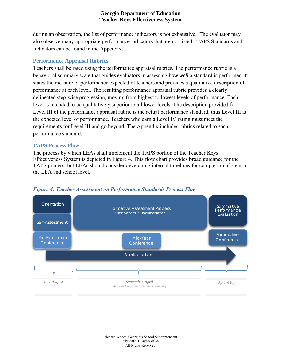during an observation, the list of performance indicators is not exhaustive. The evaluator may also observe many appropriate performance indicators that are not listed. TAPS Standards and Indicators can be found in the Appendix.

#### **Performance Appraisal Rubrics**

Teachers shall be rated using the performance appraisal rubrics. The performance rubric is a behavioral summary scale that guides evaluators in assessing *how well* a standard is performed. It states the measure of performance expected of teachers and provides a qualitative description of performance at each level. The resulting performance appraisal rubric provides a clearly delineated step-wise progression, moving from highest to lowest levels of performance. Each level is intended to be qualitatively superior to all lower levels. The description provided for Level III of the performance appraisal rubric is the actual performance standard, thus Level III is the expected level of performance. Teachers who earn a Level IV rating must meet the requirements for Level III and go beyond. The Appendix includes rubrics related to each performance standard.

#### **TAPS Process Flow**

The process by which LEAs shall implement the TAPS portion of the Teacher Keys Effectiveness System is depicted in Figure 4. This flow chart provides broad guidance for the TAPS process, but LEAs should consider developing internal timelines for completion of steps at the LEA and school level.



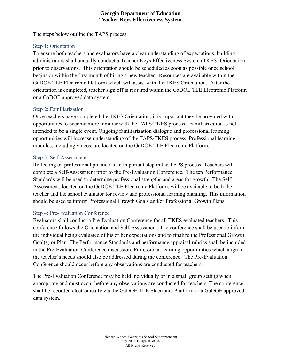The steps below outline the TAPS process.

## Step 1: Orientation

To ensure both teachers and evaluators have a clear understanding of expectations, building administrators shall annually conduct a Teacher Keys Effectiveness System (TKES) Orientation prior to observations. This orientation should be scheduled as soon as possible once school begins or within the first month of hiring a new teacher. Resources are available within the GaDOE TLE Electronic Platform which will assist with the TKES Orientation. After the orientation is completed, teacher sign off is required within the GaDOE TLE Electronic Platform or a GaDOE approved data system.

## Step 2: Familiarization

Once teachers have completed the TKES Orientation, it is important they be provided with opportunities to become more familiar with the TAPS/TKES process. Familiarization is not intended to be a single event. Ongoing familiarization dialogue and professional learning opportunities will increase understanding of the TAPS/TKES process. Professional learning modules, including videos, are located on the GaDOE TLE Electronic Platform.

#### Step 3: Self-Assessment

Reflecting on professional practice is an important step in the TAPS process. Teachers will complete a Self-Assessment prior to the Pre-Evaluation Conference. The ten Performance Standards will be used to determine professional strengths and areas for growth. The Self-Assessment, located on the GaDOE TLE Electronic Platform, will be available to both the teacher and the school evaluator for review and professional learning planning. This information should be used to inform Professional Growth Goals and/or Professional Growth Plans.

## Step 4: Pre-Evaluation Conference

Evaluators shall conduct a Pre-Evaluation Conference for all TKES evaluated teachers. This conference follows the Orientation and Self-Assessment. The conference shall be used to inform the individual being evaluated of his or her expectations and to finalize the Professional Growth Goal(s) or Plan. The Performance Standards and performance appraisal rubrics shall be included in the Pre-Evaluation Conference discussion. Professional learning opportunities which align to the teacher's needs should also be addressed during the conference. The Pre-Evaluation Conference should occur before any observations are conducted for teachers.

The Pre-Evaluation Conference may be held individually or in a small group setting when appropriate and must occur before any observations are conducted for teachers. The conference shall be recorded electronically via the GaDOE TLE Electronic Platform or a GaDOE approved data system.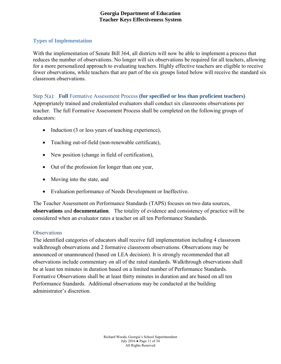#### **Types of Implementation**

With the implementation of Senate Bill 364, all districts will now be able to implement a process that reduces the number of observations. No longer will six observations be required for all teachers, allowing for a more personalized approach to evaluating teachers. Highly effective teachers are eligible to receive fewer observations, while teachers that are part of the six groups listed below will receive the standard six classroom observations.

Step 5(a): **Full** Formative Assessment Process **(for specified or less than proficient teachers)** Appropriately trained and credentialed evaluators shall conduct six classrooms observations per teacher. The full Formative Assessment Process shall be completed on the following groups of educators:

- $\bullet$  Induction (3 or less years of teaching experience),
- Teaching out-of-field (non-renewable certificate),
- New position (change in field of certification),
- Out of the profession for longer than one year,
- Moving into the state, and
- Evaluation performance of Needs Development or Ineffective.

The Teacher Assessment on Performance Standards (TAPS) focuses on two data sources, **observations** and **documentation**. The totality of evidence and consistency of practice will be considered when an evaluator rates a teacher on all ten Performance Standards.

#### **Observations**

The identified categories of educators shall receive full implementation including 4 classroom walkthrough observations and 2 formative classroom observations. Observations may be announced or unannounced (based on LEA decision). It is strongly recommended that all observations include commentary on all of the rated standards. Walkthrough observations shall be at least ten minutes in duration based on a limited number of Performance Standards. Formative Observations shall be at least thirty minutes in duration and are based on all ten Performance Standards. Additional observations may be conducted at the building administrator's discretion.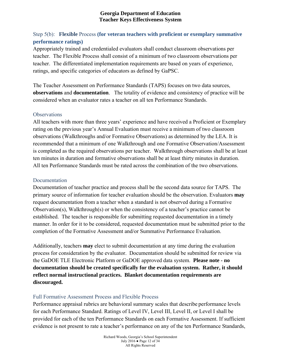## Step 5(b): **Flexible** Process **(for veteran teachers with proficient or exemplary summative performance ratings)**

Appropriately trained and credentialed evaluators shall conduct classroom observations per teacher. The Flexible Process shall consist of a minimum of two classroom observations per teacher. The differentiated implementation requirements are based on years of experience, ratings, and specific categories of educators as defined by GaPSC.

The Teacher Assessment on Performance Standards (TAPS) focuses on two data sources, **observations** and **documentation**. The totality of evidence and consistency of practice will be considered when an evaluator rates a teacher on all ten Performance Standards.

#### **Observations**

All teachers with more than three years' experience and have received a Proficient or Exemplary rating on the previous year's Annual Evaluation must receive a minimum of two classroom observations (Walkthroughs and/or Formative Observations) as determined by the LEA. It is recommended that a minimum of one Walkthrough and one Formative Observation/Assessment is completed as the required observations per teacher. Walkthrough observations shall be at least ten minutes in duration and formative observations shall be at least thirty minutes in duration. All ten Performance Standards must be rated across the combination of the two observations.

#### Documentation

Documentation of teacher practice and process shall be the second data source for TAPS. The primary source of information for teacher evaluation should be the observation. Evaluators **may** request documentation from a teacher when a standard is not observed during a Formative Observation(s), Walkthrough(s) or when the consistency of a teacher's practice cannot be established. The teacher is responsible for submitting requested documentation in a timely manner. In order for it to be considered, requested documentation must be submitted prior to the completion of the Formative Assessment and/or Summative Performance Evaluation.

Additionally, teachers **may** elect to submit documentation at any time during the evaluation process for consideration by the evaluator. Documentation should be submitted for review via the GaDOE TLE Electronic Platform or GaDOE approved data system. **Please note - no documentation should be created specifically for the evaluation system. Rather, it should reflect normal instructional practices. Blanket documentation requirements are discouraged.** 

## Full Formative Assessment Process and Flexible Process

Performance appraisal rubrics are behavioral summary scales that describe performance levels for each Performance Standard. Ratings of Level IV, Level III, Level II, or Level I shall be provided for each of the ten Performance Standards on each Formative Assessment. If sufficient evidence is not present to rate a teacher's performance on any of the ten Performance Standards,

> Richard Woods, Georgia's School Superintendent July 2016 ● Page 12 of 34 All Rights Reserved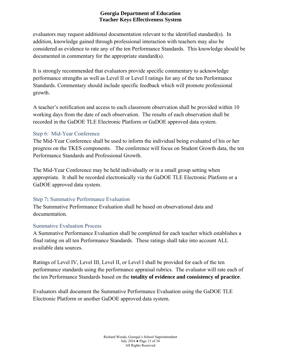evaluators may request additional documentation relevant to the identified standard(s). In addition, knowledge gained through professional interaction with teachers may also be considered as evidence to rate any of the ten Performance Standards. This knowledge should be documented in commentary for the appropriate standard(s).

It is strongly recommended that evaluators provide specific commentary to acknowledge performance strengths as well as Level II or Level I ratings for any of the ten Performance Standards. Commentary should include specific feedback which will promote professional growth.

A teacher's notification and access to each classroom observation shall be provided within 10 working days from the date of each observation.The results of each observation shall be recorded in the GaDOE TLE Electronic Platform or GaDOE approved data system.

## Step 6: Mid-Year Conference

The Mid-Year Conference shall be used to inform the individual being evaluated of his or her progress on the TKES components. The conference will focus on Student Growth data, the ten Performance Standards and Professional Growth.

The Mid-Year Conference may be held individually or in a small group setting when appropriate. It shall be recorded electronically via the GaDOE TLE Electronic Platform or a GaDOE approved data system.

#### Step 7**:** Summative Performance Evaluation

The Summative Performance Evaluation shall be based on observational data and documentation.

## Summative Evaluation Process

A Summative Performance Evaluation shall be completed for each teacher which establishes a final rating on all ten Performance Standards. These ratings shall take into account ALL available data sources.

Ratings of Level IV, Level III, Level II, or Level I shall be provided for each of the ten performance standards using the performance appraisal rubrics. The evaluator will rate each of the ten Performance Standards based on the **totality of evidence and consistency of practice**.

Evaluators shall document the Summative Performance Evaluation using the GaDOE TLE Electronic Platform or another GaDOE approved data system.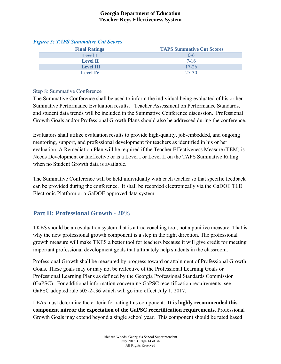| <b>Final Ratings</b> | <b>TAPS Summative Cut Scores</b> |
|----------------------|----------------------------------|
| <b>Level I</b>       | ()-6                             |
| <b>Level II</b>      | $7-16$                           |
| <b>Level III</b>     | $17 - 26$                        |
| <b>Level IV</b>      | 27-30                            |

#### *Figure 5: TAPS Summative Cut Scores*

#### Step 8: Summative Conference

The Summative Conference shall be used to inform the individual being evaluated of his or her Summative Performance Evaluation results. Teacher Assessment on Performance Standards, and student data trends will be included in the Summative Conference discussion. Professional Growth Goals and/or Professional Growth Plans should also be addressed during the conference.

Evaluators shall utilize evaluation results to provide high-quality, job-embedded, and ongoing mentoring, support, and professional development for teachers as identified in his or her evaluation. A Remediation Plan will be required if the Teacher Effectiveness Measure (TEM) is Needs Development or Ineffective or is a Level I or Level II on the TAPS Summative Rating when no Student Growth data is available.

The Summative Conference will be held individually with each teacher so that specific feedback can be provided during the conference. It shall be recorded electronically via the GaDOE TLE Electronic Platform or a GaDOE approved data system.

## **Part II: Professional Growth - 20%**

TKES should be an evaluation system that is a true coaching tool, not a punitive measure. That is why the new professional growth component is a step in the right direction. The professional growth measure will make TKES a better tool for teachers because it will give credit for meeting important professional development goals that ultimately help students in the classroom.

Professional Growth shall be measured by progress toward or attainment of Professional Growth Goals. These goals may or may not be reflective of the Professional Learning Goals or Professional Learning Plans as defined by the Georgia Professional Standards Commission (GaPSC). For additional information concerning GaPSC recertification requirements, see GaPSC adopted rule 505-2-.36 which will go into effect July 1, 2017.

LEAs must determine the criteria for rating this component. **It is highly recommended this component mirror the expectation of the GaPSC recertification requirements.** Professional Growth Goals may extend beyond a single school year. This component should be rated based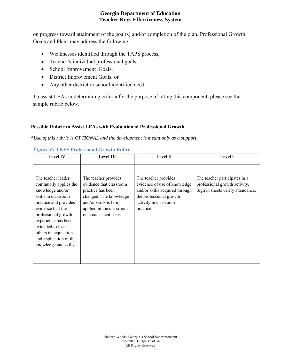on progress toward attainment of the goal(s) and/or completion of the plan. Professional Growth Goals and Plans may address the following:

- Weaknesses identified through the TAPS process,
- Teacher's individual professional goals,
- School Improvement Goals,
- District Improvement Goals, or
- Any other district or school identified need

To assist LEAs in determining criteria for the purpose of rating this component, please see the sample rubric below.

#### **Possible Rubric to Assist LEAs with Evaluation of Professional Growth**

*\*Use of this rubric is OPTIONAL and the development is meant only as a support.* 

| <b>Level IV</b>                                                                                                                                                                                                                                                                      | <b>Level III</b>                                                                                                                                                               | <b>Level II</b>                                                                                                                                         | <b>Level I</b>                                                                                      |
|--------------------------------------------------------------------------------------------------------------------------------------------------------------------------------------------------------------------------------------------------------------------------------------|--------------------------------------------------------------------------------------------------------------------------------------------------------------------------------|---------------------------------------------------------------------------------------------------------------------------------------------------------|-----------------------------------------------------------------------------------------------------|
| The teacher leader<br>continually applies the<br>knowledge and/or<br>skills in classroom<br>practice and provides<br>evidence that the<br>professional growth<br>experience has been<br>extended to lead<br>others in acquisition<br>and application of the<br>knowledge and skills. | The teacher provides<br>evidence that classroom<br>practice has been<br>changed. The knowledge<br>and/or skills is (are)<br>applied in the classroom<br>on a consistent basis. | The teacher provides<br>evidence of use of knowledge<br>and/or skills acquired through<br>the professional growth<br>activity in classroom<br>practice. | The teacher participates in a<br>professional growth activity.<br>Sign in sheets verify attendance. |

#### *Figure 6:* **TKES Professional Growth Rubric**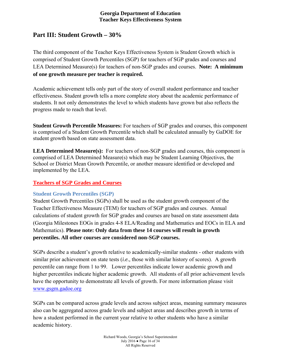## **Part III: Student Growth – 30%**

The third component of the Teacher Keys Effectiveness System is Student Growth which is comprised of Student Growth Percentiles (SGP) for teachers of SGP grades and courses and LEA Determined Measure(s) for teachers of non-SGP grades and courses. **Note: A minimum of one growth measure per teacher is required.**

Academic achievement tells only part of the story of overall student performance and teacher effectiveness. Student growth tells a more complete story about the academic performance of students. It not only demonstrates the level to which students have grown but also reflects the progress made to reach that level.

**Student Growth Percentile Measures:** For teachers of SGP grades and courses, this component is comprised of a Student Growth Percentile which shall be calculated annually by GaDOE for student growth based on state assessment data.

LEA Determined Measure(s): For teachers of non-SGP grades and courses, this component is comprised of LEA Determined Measure(s) which may be Student Learning Objectives, the School or District Mean Growth Percentile, or another measure identified or developed and implemented by the LEA.

#### **Teachers of SGP Grades and Courses**

#### **Student Growth Percentiles (SGP)**

Student Growth Percentiles (SGPs) shall be used as the student growth component of the Teacher Effectiveness Measure (TEM) for teachers of SGP grades and courses. Annual calculations of student growth for SGP grades and courses are based on state assessment data (Georgia Milestones EOGs in grades 4-8 ELA/Reading and Mathematics and EOCs in ELA and Mathematics). **Please note: Only data from these 14 courses will result in growth percentiles. All other courses are considered non-SGP courses.**

SGPs describe a student's growth relative to academically-similar students - other students with similar prior achievement on state tests (*i.e.,* those with similar history of scores). A growth percentile can range from 1 to 99. Lower percentiles indicate lower academic growth and higher percentiles indicate higher academic growth. All students of all prior achievement levels have the opportunity to demonstrate all levels of growth. For more information please visit www.gsgm.gadoe.org

SGPs can be compared across grade levels and across subject areas, meaning summary measures also can be aggregated across grade levels and subject areas and describes growth in terms of how a student performed in the current year relative to other students who have a similar academic history.

> Richard Woods, Georgia's School Superintendent July 2016  $\bullet$  Page 16 of 34 All Rights Reserved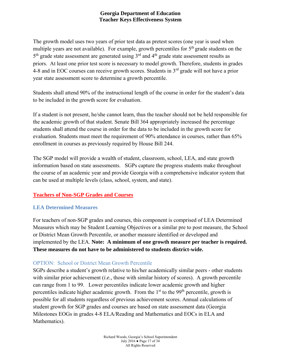The growth model uses two years of prior test data as pretest scores (one year is used when multiple years are not available). For example, growth percentiles for  $5<sup>th</sup>$  grade students on the  $5<sup>th</sup>$  grade state assessment are generated using  $3<sup>rd</sup>$  and  $4<sup>th</sup>$  grade state assessment results as priors. At least one prior test score is necessary to model growth. Therefore, students in grades 4-8 and in EOC courses can receive growth scores. Students in 3<sup>rd</sup> grade will not have a prior year state assessment score to determine a growth percentile.

Students shall attend 90% of the instructional length of the course in order for the student's data to be included in the growth score for evaluation.

If a student is not present, he/she cannot learn, thus the teacher should not be held responsible for the academic growth of that student. Senate Bill 364 appropriately increased the percentage students shall attend the course in order for the data to be included in the growth score for evaluation. Students must meet the requirement of 90% attendance in courses, rather than 65% enrollment in courses as previously required by House Bill 244.

The SGP model will provide a wealth of student, classroom, school, LEA, and state growth information based on state assessments. SGPs capture the progress students make throughout the course of an academic year and provide Georgia with a comprehensive indicator system that can be used at multiple levels (class, school, system, and state).

## **Teachers of Non-SGP Grades and Courses**

## **LEA Determined Measures**

For teachers of non-SGP grades and courses, this component is comprised of LEA Determined Measures which may be Student Learning Objectives or a similar pre to post measure, the School or District Mean Growth Percentile, or another measure identified or developed and implemented by the LEA. **Note: A minimum of one growth measure per teacher is required. These measures do not have to be administered to students district-wide.**

## OPTION: School or District Mean Growth Percentile

SGPs describe a student's growth relative to his/her academically similar peers - other students with similar prior achievement (*i.e.,* those with similar history of scores). A growth percentile can range from 1 to 99. Lower percentiles indicate lower academic growth and higher percentiles indicate higher academic growth. From the  $1<sup>st</sup>$  to the 99<sup>th</sup> percentile, growth is possible for all students regardless of previous achievement scores. Annual calculations of student growth for SGP grades and courses are based on state assessment data (Georgia Milestones EOGs in grades 4-8 ELA/Reading and Mathematics and EOCs in ELA and Mathematics).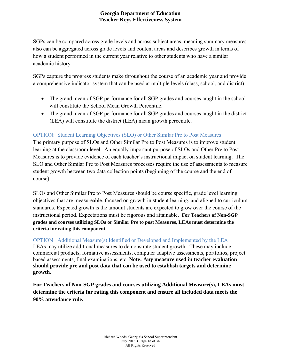SGPs can be compared across grade levels and across subject areas, meaning summary measures also can be aggregated across grade levels and content areas and describes growth in terms of how a student performed in the current year relative to other students who have a similar academic history.

SGPs capture the progress students make throughout the course of an academic year and provide a comprehensive indicator system that can be used at multiple levels (class, school, and district).

- The grand mean of SGP performance for all SGP grades and courses taught in the school will constitute the School Mean Growth Percentile.
- The grand mean of SGP performance for all SGP grades and courses taught in the district (LEA) will constitute the district (LEA) mean growth percentile.

## OPTION: Student Learning Objectives (SLO) or Other Similar Pre to Post Measures

The primary purpose of SLOs and Other Similar Pre to Post Measures is to improve student learning at the classroom level. An equally important purpose of SLOs and Other Pre to Post Measures is to provide evidence of each teacher's instructional impact on student learning. The SLO and Other Similar Pre to Post Measures processes require the use of assessments to measure student growth between two data collection points (beginning of the course and the end of course).

SLOs and Other Similar Pre to Post Measures should be course specific, grade level learning objectives that are measureable, focused on growth in student learning, and aligned to curriculum standards. Expected growth is the amount students are expected to grow over the course of the instructional period. Expectations must be rigorous and attainable. **For Teachers of Non-SGP grades and courses utilizing SLOs or Similar Pre to post Measures, LEAs must determine the criteria for rating this component.**

## OPTION: Additional Measure(s) Identified or Developed and Implemented by the LEA

LEAs may utilize additional measures to demonstrate student growth. These may include commercial products, formative assessments, computer adaptive assessments, portfolios, project based assessments, final examinations, etc. **Note: Any measure used in teacher evaluation should provide pre and post data that can be used to establish targets and determine growth.**

**For Teachers of Non-SGP grades and courses utilizing Additional Measure(s), LEAs must determine the criteria for rating this component and ensure all included data meets the 90% attendance rule.**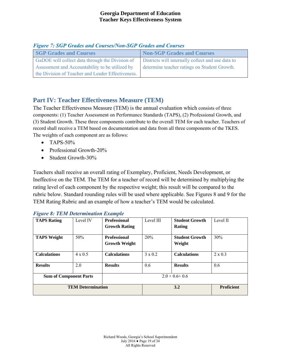| <b>SGP Grades and Courses</b>                     | <b>Non-SGP Grades and Courses</b>                 |
|---------------------------------------------------|---------------------------------------------------|
| GaDOE will collect data through the Division of   | Districts will internally collect and use data to |
| Assessment and Accountability to be utilized by   | determine teacher ratings on Student Growth.      |
| the Division of Teacher and Leader Effectiveness. |                                                   |

*Figure 7: SGP Grades and Courses/Non-SGP Grades and Courses* 

## **Part IV: Teacher Effectiveness Measure (TEM)**

The Teacher Effectiveness Measure (TEM) is the annual evaluation which consists of three components: (1) Teacher Assessment on Performance Standards (TAPS), (2) Professional Growth, and (3) Student Growth. These three components contribute to the overall TEM for each teacher. Teachers of record shall receive a TEM based on documentation and data from all three components of the TKES. The weights of each component are as follows:

- $\bullet$  TAPS-50%
- Professional Growth-20%
- Student Growth-30%

Teachers shall receive an overall rating of Exemplary, Proficient, Needs Development, or Ineffective on the TEM. The TEM for a teacher of record will be determined by multiplying the rating level of each component by the respective weight; this result will be compared to the rubric below. Standard rounding rules will be used where applicable. See Figures 8 and 9 for the TEM Rating Rubric and an example of how a teacher's TEM would be calculated.

| <b>TAPS Rating</b>            | Level IV                 | <b>Professional</b><br><b>Growth Rating</b> | Level III      | <b>Student Growth</b><br>Rating | Level II          |
|-------------------------------|--------------------------|---------------------------------------------|----------------|---------------------------------|-------------------|
| <b>TAPS Weight</b>            | 50%                      | <b>Professional</b><br><b>Growth Weight</b> | 20%            | <b>Student Growth</b><br>Weight | 30%               |
| <b>Calculations</b>           | $4 \times 0.5$           | <b>Calculations</b>                         | $3 \times 0.2$ | <b>Calculations</b>             | $2 \times 0.3$    |
| <b>Results</b>                | 2.0                      | <b>Results</b>                              | 0.6            | <b>Results</b>                  | 0.6               |
| <b>Sum of Component Parts</b> |                          | $2.0 + 0.6 + 0.6$                           |                |                                 |                   |
|                               | <b>TEM Determination</b> |                                             |                | 3.2                             | <b>Proficient</b> |

|  |  | <b>Figure 8: TEM Determination Example</b> |  |
|--|--|--------------------------------------------|--|
|--|--|--------------------------------------------|--|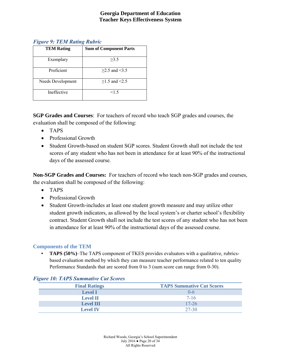#### *Figure 9: TEM Rating Rubric*

| <b>TEM Rating</b> | <b>Sum of Component Parts</b> |
|-------------------|-------------------------------|
| Exemplary         | >3.5                          |
| Proficient        | $>2.5$ and $<3.5$             |
| Needs Development | $>1.5$ and $<2.5$             |
| Ineffective       | <1.5                          |

**SGP Grades and Courses**: For teachers of record who teach SGP grades and courses, the evaluation shall be composed of the following:

- TAPS
- Professional Growth
- Student Growth-based on student SGP scores. Student Growth shall not include the test scores of any student who has not been in attendance for at least 90% of the instructional days of the assessed course.

**Non-SGP Grades and Courses:** For teachers of record who teach non-SGP grades and courses, the evaluation shall be composed of the following:

- TAPS
- Professional Growth
- Student Growth-includes at least one student growth measure and may utilize other student growth indicators, as allowed by the local system's or charter school's flexibility contract. Student Growth shall not include the test scores of any student who has not been in attendance for at least 90% of the instructional days of the assessed course.

#### **Components of the TEM**

• **TAPS (50%)**–The TAPS component of TKES provides evaluators with a qualitative, rubricsbased evaluation method by which they can measure teacher performance related to ten quality Performance Standards that are scored from 0 to 3 (sum score can range from 0-30).

#### *Figure 10: TAPS Summative Cut Scores*

| <b>Final Ratings</b> | <b>TAPS Summative Cut Scores</b> |
|----------------------|----------------------------------|
| <b>Level I</b>       | $0 - 6$                          |
| <b>Level II</b>      | $7-16$                           |
| <b>Level III</b>     | $17 - 26$                        |
| <b>Level IV</b>      | 27-30                            |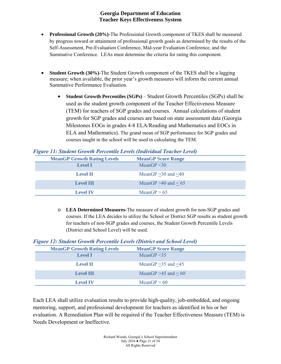- **Professional Growth (20%)-**The Professional Growth component of TKES shall be measured by progress toward or attainment of professional growth goals as determined by the results of the Self-Assessment, Pre-Evaluation Conference, Mid-year Evaluation Conference, and the Summative Conference. LEAs must determine the criteria for rating this component.
- **Student Growth (30%)-**The Student Growth component of the TKES shall be a lagging measure; when available, the prior year's growth measures will inform the current annual Summative Performance Evaluation.
	- **Student Growth Percentiles (SGPs)** Student Growth Percentiles (SGPs) shall be used as the student growth component of the Teacher Effectiveness Measure (TEM) for teachers of SGP grades and courses. Annual calculations of student growth for SGP grades and courses are based on state assessment data (Georgia Milestones EOGs in grades 4-8 ELA/Reading and Mathematics and EOCs in ELA and Mathematics). The grand mean of SGP performance for SGP grades and courses taught in the school will be used in calculating the TEM.

|  |  |  | <b>Figure 11: Student Growth Percentile Levels (Individual Teacher Level)</b> |  |
|--|--|--|-------------------------------------------------------------------------------|--|
|  |  |  |                                                                               |  |

| <b>MeanGP Growth Rating Levels</b> | <b>MeanGP Score Range</b> |
|------------------------------------|---------------------------|
| <b>Level I</b>                     | MeanGP $\leq 30$          |
| <b>Level II</b>                    | MeanGP $>30$ and $<40$    |
| <b>Level III</b>                   | MeanGP $>40$ and $< 65$   |
| <b>Level IV</b>                    | MeanGP $> 65$             |

o **LEA Determined Measures-**The measure of student growth for non-SGP grades and courses. If the LEA decides to utilize the School or District SGP results as student growth for teachers of non-SGP grades and courses, the Student Growth Percentile Levels (District and School Level) will be used.

#### *Figure 12: Student Growth Percentile Levels (District and School Level)*

| <b>MeanGP Growth Rating Levels</b> | <b>MeanGP Score Range</b> |  |
|------------------------------------|---------------------------|--|
| <b>Level I</b>                     | MeanGP $\leq$ 35          |  |
| <b>Level II</b>                    | MeanGP $>35$ and $<45$    |  |
| <b>Level III</b>                   | MeanGP $>45$ and $< 60$   |  |
| <b>Level IV</b>                    | MeanGP $> 60$             |  |

Each LEA shall utilize evaluation results to provide high-quality, job-embedded, and ongoing mentoring, support, and professional development for teachers as identified in his or her evaluation. A Remediation Plan will be required if the Teacher Effectiveness Measure (TEM) is Needs Development or Ineffective.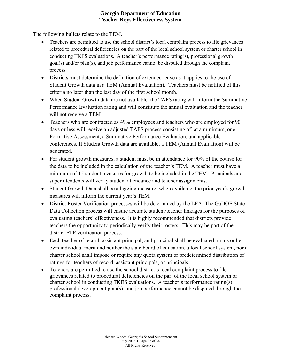The following bullets relate to the TEM.

- Teachers are permitted to use the school district's local complaint process to file grievances related to procedural deficiencies on the part of the local school system or charter school in conducting TKES evaluations. A teacher's performance rating(s), professional growth goal(s) and/or plan(s), and job performance cannot be disputed through the complaint process.
- Districts must determine the definition of extended leave as it applies to the use of Student Growth data in a TEM (Annual Evaluation). Teachers must be notified of this criteria no later than the last day of the first school month.
- When Student Growth data are not available, the TAPS rating will inform the Summative Performance Evaluation rating and will constitute the annual evaluation and the teacher will not receive a TEM.
- Teachers who are contracted as 49% employees and teachers who are employed for 90 days or less will receive an adjusted TAPS process consisting of, at a minimum, one Formative Assessment, a Summative Performance Evaluation, and applicable conferences. If Student Growth data are available, a TEM (Annual Evaluation) will be generated.
- For student growth measures, a student must be in attendance for 90% of the course for the data to be included in the calculation of the teacher's TEM. A teacher must have a minimum of 15 student measures for growth to be included in the TEM. Principals and superintendents will verify student attendance and teacher assignments.
- Student Growth Data shall be a lagging measure; when available, the prior year's growth measures will inform the current year's TEM.
- District Roster Verification processes will be determined by the LEA. The GaDOE State Data Collection process will ensure accurate student/teacher linkages for the purposes of evaluating teachers' effectiveness. It is highly recommended that districts provide teachers the opportunity to periodically verify their rosters. This may be part of the district FTE verification process.
- Each teacher of record, assistant principal, and principal shall be evaluated on his or her own individual merit and neither the state board of education, a local school system, nor a charter school shall impose or require any quota system or predetermined distribution of ratings for teachers of record, assistant principals, or principals.
- Teachers are permitted to use the school district's local complaint process to file grievances related to procedural deficiencies on the part of the local school system or charter school in conducting TKES evaluations. A teacher's performance rating(s), professional development plan(s), and job performance cannot be disputed through the complaint process.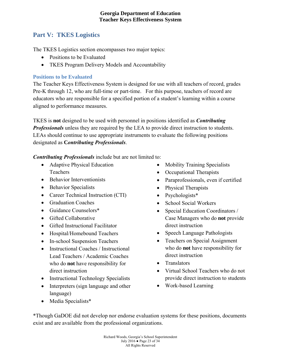## **Part V: TKES Logistics**

The TKES Logistics section encompasses two major topics:

- Positions to be Evaluated
- TKES Program Delivery Models and Accountability

## **Positions to be Evaluated**

The Teacher Keys Effectiveness System is designed for use with all teachers of record, grades Pre-K through 12, who are full-time or part-time. For this purpose, teachers of record are educators who are responsible for a specified portion of a student's learning within a course aligned to performance measures.

TKES is **not** designed to be used with personnel in positions identified as *Contributing Professionals* unless they are required by the LEA to provide direct instruction to students. LEAs should continue to use appropriate instruments to evaluate the following positions designated as **C***ontributing Professionals*.

*Contributing Professionals* include but are not limited to:

- Adaptive Physical Education Teachers
- Behavior Interventionists
- Behavior Specialists
- Career Technical Instruction (CTI)
- Graduation Coaches
- Guidance Counselors\*
- Gifted Collaborative
- Gifted Instructional Facilitator
- Hospital/Homebound Teachers
- In-school Suspension Teachers
- Instructional Coaches / Instructional Lead Teachers / Academic Coaches who do **not** have responsibility for direct instruction
- Instructional Technology Specialists
- Interpreters (sign language and other language)
- Mobility Training Specialists
- Occupational Therapists
- Paraprofessionals, even if certified
- Physical Therapists
- Psychologists\*
- School Social Workers
- Special Education Coordinators / Case Managers who do **not** provide direct instruction
- Speech Language Pathologists
- Teachers on Special Assignment who do **not** have responsibility for direct instruction
- Translators
- Virtual School Teachers who do not provide direct instruction to students
- Work-based Learning

• Media Specialists\*

\*Though GaDOE did not develop nor endorse evaluation systems for these positions, documents exist and are available from the professional organizations.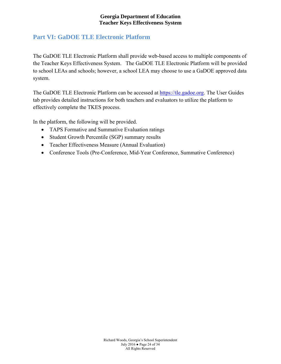## **Part VI: GaDOE TLE Electronic Platform**

The GaDOE TLE Electronic Platform shall provide web-based access to multiple components of the Teacher Keys Effectiveness System. The GaDOE TLE Electronic Platform will be provided to school LEAs and schools; however, a school LEA may choose to use a GaDOE approved data system.

The GaDOE TLE Electronic Platform can be accessed at https://tle.gadoe.org. The User Guides tab provides detailed instructions for both teachers and evaluators to utilize the platform to effectively complete the TKES process.

In the platform, the following will be provided.

- TAPS Formative and Summative Evaluation ratings
- Student Growth Percentile (SGP) summary results
- Teacher Effectiveness Measure (Annual Evaluation)
- Conference Tools (Pre-Conference, Mid-Year Conference, Summative Conference)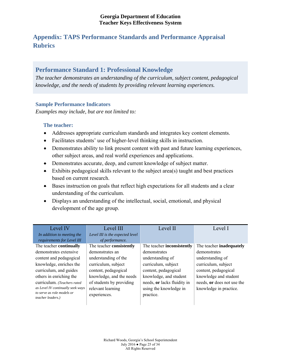## **Appendix: TAPS Performance Standards and Performance Appraisal Rubrics**

## **Performance Standard 1: Professional Knowledge**

*The teacher demonstrates an understanding of the curriculum, subject content, pedagogical knowledge, and the needs of students by providing relevant learning experiences.*

#### **Sample Performance Indicators**

*Examples may include, but are not limited to:*

- Addresses appropriate curriculum standards and integrates key content elements.
- Facilitates students' use of higher-level thinking skills in instruction.
- Demonstrates ability to link present content with past and future learning experiences, other subject areas, and real world experiences and applications.
- Demonstrates accurate, deep, and current knowledge of subject matter.
- $\bullet$  Exhibits pedagogical skills relevant to the subject area(s) taught and best practices based on current research.
- Bases instruction on goals that reflect high expectations for all students and a clear understanding of the curriculum.
- Displays an understanding of the intellectual, social, emotional, and physical development of the age group.

| Level IV                                        | Level III                       | Level II                    | Level I                    |
|-------------------------------------------------|---------------------------------|-----------------------------|----------------------------|
| In addition to meeting the                      | Level III is the expected level |                             |                            |
| requirements for Level III                      | of performance.                 |                             |                            |
| The teacher continually                         | The teacher consistently        | The teacher inconsistently  | The teacher inadequately   |
| demonstrates extensive                          | demonstrates an                 | demonstrates                | demonstrates               |
| content and pedagogical                         | understanding of the            | understanding of            | understanding of           |
| knowledge, enriches the                         | curriculum, subject             | curriculum, subject         | curriculum, subject        |
| curriculum, and guides                          | content, pedagogical            | content, pedagogical        | content, pedagogical       |
| others in enriching the                         | knowledge, and the needs        | knowledge, and student      | knowledge and student      |
| curriculum. (Teachers rated                     | of students by providing        | needs, or lacks fluidity in | needs, or does not use the |
| as Level IV continually seek ways               | relevant learning               | using the knowledge in      | knowledge in practice.     |
| to serve as role models or<br>teacher leaders.) | experiences.                    | practice.                   |                            |
|                                                 |                                 |                             |                            |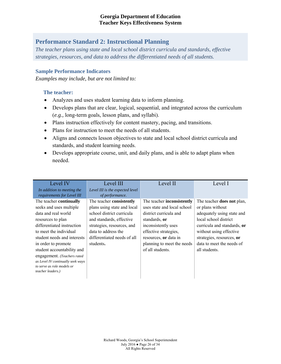## **Performance Standard 2: Instructional Planning**

*The teacher plans using state and local school district curricula and standards, effective strategies, resources, and data to address the differentiated needs of all students.*

#### **Sample Performance Indicators**

*Examples may include, but are not limited to:*

- Analyzes and uses student learning data to inform planning.
- Develops plans that are clear, logical, sequential, and integrated across the curriculum (*e.g.,* long-term goals, lesson plans, and syllabi).
- Plans instruction effectively for content mastery, pacing, and transitions.
- Plans for instruction to meet the needs of all students.
- Aligns and connects lesson objectives to state and local school district curricula and standards, and student learning needs.
- Develops appropriate course, unit, and daily plans, and is able to adapt plans when needed.

| Level IV                          | Level III                       | Level II                    | Level I                           |
|-----------------------------------|---------------------------------|-----------------------------|-----------------------------------|
| In addition to meeting the        | Level III is the expected level |                             |                                   |
| requirements for Level III        | of performance.                 |                             |                                   |
| The teacher continually           | The teacher consistently        | The teacher inconsistently  | The teacher <b>does not</b> plan, |
| seeks and uses multiple           | plans using state and local     | uses state and local school | or plans without                  |
| data and real world               | school district curricula       | district curricula and      | adequately using state and        |
| resources to plan                 | and standards, effective        | standards, or               | local school district             |
| differentiated instruction        | strategies, resources, and      | inconsistently uses         | curricula and standards, or       |
| to meet the individual            | data to address the             | effective strategies,       | without using effective           |
| student needs and interests       | differentiated needs of all     | resources, or data in       | strategies, resources, or         |
| in order to promote               | students.                       | planning to meet the needs  | data to meet the needs of         |
| student accountability and        |                                 | of all students.            | all students.                     |
| engagement. (Teachers rated       |                                 |                             |                                   |
| as Level IV continually seek ways |                                 |                             |                                   |
| to serve as role models or        |                                 |                             |                                   |
| teacher leaders.)                 |                                 |                             |                                   |
|                                   |                                 |                             |                                   |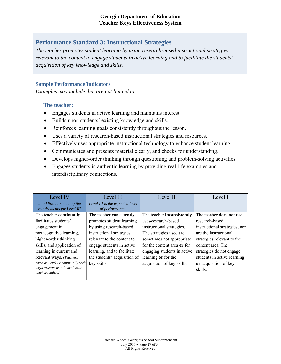## **Performance Standard 3: Instructional Strategies**

*The teacher promotes student learning by using research-based instructional strategies relevant to the content to engage students in active learning and to facilitate the students' acquisition of key knowledge and skills.*

#### **Sample Performance Indicators**

*Examples may include, but are not limited to:*

- Engages students in active learning and maintains interest.
- Builds upon students' existing knowledge and skills.
- Reinforces learning goals consistently throughout the lesson.
- Uses a variety of research-based instructional strategies and resources.
- Effectively uses appropriate instructional technology to enhance student learning.
- Communicates and presents material clearly, and checks for understanding.
- Develops higher-order thinking through questioning and problem-solving activities.
- Engages students in authentic learning by providing real-life examples and interdisciplinary connections.

| Level IV                           | Level III                       | Level II                          | Level I                         |
|------------------------------------|---------------------------------|-----------------------------------|---------------------------------|
| In addition to meeting the         | Level III is the expected level |                                   |                                 |
| requirements for Level III         | of performance.                 |                                   |                                 |
| The teacher continually            | The teacher consistently        | The teacher <b>inconsistently</b> | The teacher <b>does not</b> use |
| facilitates students'              | promotes student learning       | uses-research-based               | research-based                  |
| engagement in                      | by using research-based         | instructional strategies.         | instructional strategies, nor   |
| metacognitive learning,            | instructional strategies        | The strategies used are           | are the instructional           |
| higher-order thinking              | relevant to the content to      | sometimes not appropriate         | strategies relevant to the      |
| skills, and application of         | engage students in active       | for the content area or for       | content area. The               |
| learning in current and            | learning, and to facilitate     | engaging students in active       | strategies do not engage        |
| relevant ways. (Teachers           | the students' acquisition of    | learning or for the               | students in active learning     |
| rated as Level IV continually seek | key skills.                     | acquisition of key skills.        | or acquisition of key           |
| ways to serve as role models or    |                                 |                                   | skills.                         |
| teacher leaders.)                  |                                 |                                   |                                 |
|                                    |                                 |                                   |                                 |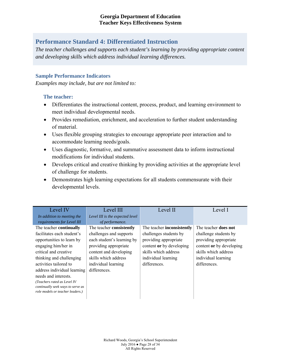## **Performance Standard 4: Differentiated Instruction**

*The teacher challenges and supports each student's learning by providing appropriate content and developing skills which address individual learning differences.*

#### **Sample Performance Indicators**

*Examples may include, but are not limited to:*

- Differentiates the instructional content, process, product, and learning environment to meet individual developmental needs.
- Provides remediation, enrichment, and acceleration to further student understanding of material.
- Uses flexible grouping strategies to encourage appropriate peer interaction and to accommodate learning needs/goals.
- Uses diagnostic, formative, and summative assessment data to inform instructional modifications for individual students.
- Develops critical and creative thinking by providing activities at the appropriate level of challenge for students.
- Demonstrates high learning expectations for all students commensurate with their developmental levels.

| Level IV                          | Level III                       | Level II                          | Level I                     |
|-----------------------------------|---------------------------------|-----------------------------------|-----------------------------|
| In addition to meeting the        | Level III is the expected level |                                   |                             |
| requirements for Level III        | of performance.                 |                                   |                             |
| The teacher continually           | The teacher consistently        | The teacher <b>inconsistently</b> | The teacher <b>does not</b> |
| facilitates each student's        | challenges and supports         | challenges students by            | challenge students by       |
| opportunities to learn by         | each student's learning by      | providing appropriate             | providing appropriate       |
| engaging him/her in               | providing appropriate           | content or by developing          | content or by developing    |
| critical and creative             | content and developing          | skills which address              | skills which address        |
| thinking and challenging          | skills which address            | individual learning               | individual learning         |
| activities tailored to            | individual learning             | differences.                      | differences.                |
| address individual learning       | differences.                    |                                   |                             |
| needs and interests.              |                                 |                                   |                             |
| (Teachers rated as Level IV       |                                 |                                   |                             |
| continually seek ways to serve as |                                 |                                   |                             |
| role models or teacher leaders.)  |                                 |                                   |                             |
|                                   |                                 |                                   |                             |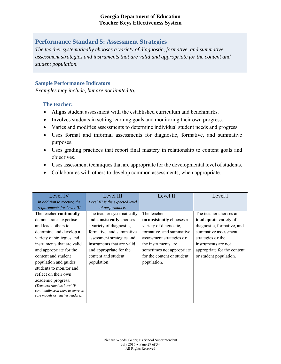## **Performance Standard 5: Assessment Strategies**

*The teacher systematically chooses a variety of diagnostic, formative, and summative assessment strategies and instruments that are valid and appropriate for the content and student population.*

#### **Sample Performance Indicators**

*Examples may include, but are not limited to:*

- Aligns student assessment with the established curriculum and benchmarks.
- Involves students in setting learning goals and monitoring their own progress.
- Varies and modifies assessments to determine individual student needs and progress.
- Uses formal and informal assessments for diagnostic, formative, and summative purposes.
- Uses grading practices that report final mastery in relationship to content goals and objectives.
- Uses assessment techniques that are appropriate for the developmental level of students.
- Collaborates with others to develop common assessments, when appropriate.

| Level IV                          | Level III                       | Level II                   | Level I                      |
|-----------------------------------|---------------------------------|----------------------------|------------------------------|
| In addition to meeting the        | Level III is the expected level |                            |                              |
| requirements for Level III        | of performance.                 |                            |                              |
| The teacher <b>continually</b>    | The teacher systematically      | The teacher                | The teacher chooses an       |
| demonstrates expertise            | and consistently chooses        | inconsistently chooses a   | <b>inadequate</b> variety of |
| and leads others to               | a variety of diagnostic,        | variety of diagnostic,     | diagnostic, formative, and   |
| determine and develop a           | formative, and summative        | formative, and summative   | summative assessment         |
| variety of strategies and         | assessment strategies and       | assessment strategies or   | strategies or the            |
| instruments that are valid        | instruments that are valid      | the instruments are        | instruments are not          |
| and appropriate for the           | and appropriate for the         | sometimes not appropriate  | appropriate for the content  |
| content and student               | content and student             | for the content or student | or student population.       |
| population and guides             | population.                     | population.                |                              |
| students to monitor and           |                                 |                            |                              |
| reflect on their own              |                                 |                            |                              |
| academic progress.                |                                 |                            |                              |
| (Teachers rated as Level IV       |                                 |                            |                              |
| continually seek ways to serve as |                                 |                            |                              |
| role models or teacher leaders.)  |                                 |                            |                              |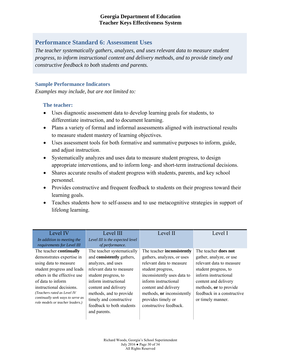## **Performance Standard 6: Assessment Uses**

*The teacher systematically gathers, analyzes, and uses relevant data to measure student progress, to inform instructional content and delivery methods, and to provide timely and constructive feedback to both students and parents.*

#### **Sample Performance Indicators**

*Examples may include, but are not limited to:*

- Uses diagnostic assessment data to develop learning goals for students, to differentiate instruction, and to document learning.
- Plans a variety of formal and informal assessments aligned with instructional results to measure student mastery of learning objectives.
- Uses assessment tools for both formative and summative purposes to inform, guide, and adjust instruction.
- Systematically analyzes and uses data to measure student progress, to design appropriate interventions, and to inform long- and short-term instructional decisions.
- Shares accurate results of student progress with students, parents, and key school personnel.
- Provides constructive and frequent feedback to students on their progress toward their learning goals.
- Teaches students how to self-assess and to use metacognitive strategies in support of lifelong learning.

| Level IV                          | Level III                       | Level II                          | Level I                     |
|-----------------------------------|---------------------------------|-----------------------------------|-----------------------------|
| In addition to meeting the        | Level III is the expected level |                                   |                             |
| requirements for Level III        | of performance.                 |                                   |                             |
| The teacher continually           | The teacher systematically      | The teacher <b>inconsistently</b> | The teacher <b>does not</b> |
| demonstrates expertise in         | and consistently gathers,       | gathers, analyzes, or uses        | gather, analyze, or use     |
| using data to measure             | analyzes, and uses              | relevant data to measure          | relevant data to measure    |
| student progress and leads        | relevant data to measure        | student progress,                 | student progress, to        |
| others in the effective use       | student progress, to            | inconsistently uses data to       | inform instructional        |
| of data to inform                 | inform instructional            | inform instructional              | content and delivery        |
| instructional decisions.          | content and delivery            | content and delivery              | methods, or to provide      |
| (Teachers rated as Level IV       | methods, and to provide         | methods, or inconsistently        | feedback in a constructive  |
| continually seek ways to serve as | timely and constructive         | provides timely or                | or timely manner.           |
| role models or teacher leaders.)  | feedback to both students       | constructive feedback.            |                             |
|                                   | and parents.                    |                                   |                             |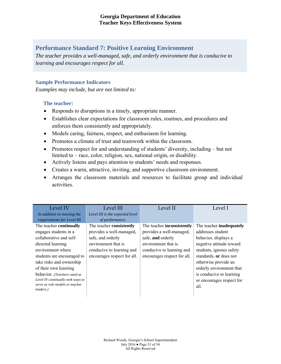## **Performance Standard 7: Positive Learning Environment**

*The teacher provides a well-managed, safe, and orderly environment that is conducive to learning and encourages respect for all.*

#### **Sample Performance Indicators**

*Examples may include, but are not limited to:*

- Responds to disruptions in a timely, appropriate manner.
- Establishes clear expectations for classroom rules, routines, and procedures and enforces them consistently and appropriately.
- Models caring, fairness, respect, and enthusiasm for learning.
- Promotes a climate of trust and teamwork within the classroom.
- Promotes respect for and understanding of students' diversity, including but not limited to – race, color, religion, sex, national origin, or disability.
- Actively listens and pays attention to students' needs and responses.
- Creates a warm, attractive, inviting, and supportive classroom environment.
- Arranges the classroom materials and resources to facilitate group and individual activities.

| Level IV                          | Level III                       | Level II                          | Level I                   |
|-----------------------------------|---------------------------------|-----------------------------------|---------------------------|
| In addition to meeting the        | Level III is the expected level |                                   |                           |
| requirements for Level III        | of performance.                 |                                   |                           |
| The teacher continually           | The teacher consistently        | The teacher <b>inconsistently</b> | The teacher inadequately  |
| engages students in a             | provides a well-managed,        | provides a well-managed,          | addresses student         |
| collaborative and self-           | safe, and orderly               | safe, and orderly                 | behavior, displays a      |
| directed learning                 | environment that is             | environment that is               | negative attitude toward  |
| environment where                 | conducive to learning and       | conducive to learning and         | students, ignores safety  |
| students are encouraged to        | encourages respect for all.     | encourages respect for all.       | standards, or does not    |
| take risks and ownership          |                                 |                                   | otherwise provide an      |
| of their own learning             |                                 |                                   | orderly environment that  |
| behavior. (Teachers rated as      |                                 |                                   | is conducive to learning  |
| Level IV continually seek ways to |                                 |                                   | or encourages respect for |
| serve as role models or teacher   |                                 |                                   | all.                      |
| leaders.)                         |                                 |                                   |                           |
|                                   |                                 |                                   |                           |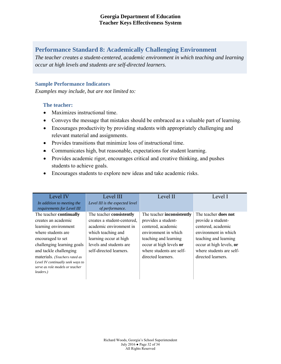## **Performance Standard 8: Academically Challenging Environment**

*The teacher creates a student-centered, academic environment in which teaching and learning occur at high levels and students are self-directed learners.*

#### **Sample Performance Indicators**

*Examples may include, but are not limited to:*

- Maximizes instructional time.
- Conveys the message that mistakes should be embraced as a valuable part of learning.
- Encourages productivity by providing students with appropriately challenging and relevant material and assignments.
- Provides transitions that minimize loss of instructional time.
- Communicates high, but reasonable, expectations for student learning.
- Provides academic rigor, encourages critical and creative thinking, and pushes students to achieve goals.
- Encourages students to explore new ideas and take academic risks.

| Level IV                          | Level III                       | Level II                   | Level I                     |
|-----------------------------------|---------------------------------|----------------------------|-----------------------------|
| In addition to meeting the        | Level III is the expected level |                            |                             |
| requirements for Level III        | of performance.                 |                            |                             |
| The teacher continually           | The teacher consistently        | The teacher inconsistently | The teacher <b>does not</b> |
| creates an academic               | creates a student-centered,     | provides a student-        | provide a student-          |
| learning environment              | academic environment in         | centered, academic         | centered, academic          |
| where students are                | which teaching and              | environment in which       | environment in which        |
| encouraged to set                 | learning occur at high          | teaching and learning      | teaching and learning       |
| challenging learning goals        | levels and students are         | occur at high levels or    | occur at high levels, or    |
| and tackle challenging            | self-directed learners.         | where students are self-   | where students are self-    |
| materials. (Teachers rated as     |                                 | directed learners.         | directed learners.          |
| Level IV continually seek ways to |                                 |                            |                             |
| serve as role models or teacher   |                                 |                            |                             |
| leaders.)                         |                                 |                            |                             |
|                                   |                                 |                            |                             |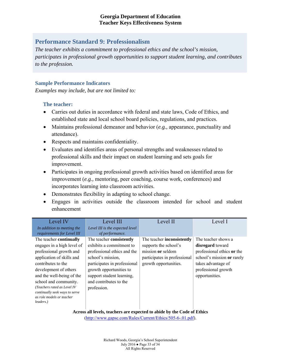## **Performance Standard 9: Professionalism**

*The teacher exhibits a commitment to professional ethics and the school's mission, participates in professional growth opportunities to support student learning, and contributes to the profession.* 

#### **Sample Performance Indicators**

*Examples may include, but are not limited to:*

#### **The teacher:**

- Carries out duties in accordance with federal and state laws, Code of Ethics, and established state and local school board policies, regulations, and practices.
- Maintains professional demeanor and behavior (*e.g.,* appearance, punctuality and attendance).
- Respects and maintains confidentiality.
- Evaluates and identifies areas of personal strengths and weaknesses related to professional skills and their impact on student learning and sets goals for improvement.
- Participates in ongoing professional growth activities based on identified areas for improvement (*e.g.,* mentoring, peer coaching, course work, conferences) and incorporates learning into classroom activities.
- Demonstrates flexibility in adapting to school change.
- Engages in activities outside the classroom intended for school and student enhancement

| Level IV                                                      | Level III                       | Level II                     | Level I                    |
|---------------------------------------------------------------|---------------------------------|------------------------------|----------------------------|
| In addition to meeting the                                    | Level III is the expected level |                              |                            |
| requirements for Level III                                    | of performance.                 |                              |                            |
| The teacher continually                                       | The teacher consistently        | The teacher inconsistently   | The teacher shows a        |
| engages in a high level of                                    | exhibits a commitment to        | supports the school's        | <b>disregard</b> toward    |
| professional growth and                                       | professional ethics and the     | mission or seldom            | professional ethics or the |
| application of skills and                                     | school's mission,               | participates in professional | school's mission or rarely |
| contributes to the                                            | participates in professional    | growth opportunities.        | takes advantage of         |
| development of others                                         | growth opportunities to         |                              | professional growth        |
| and the well-being of the                                     | support student learning,       |                              | opportunities.             |
| school and community.                                         | and contributes to the          |                              |                            |
| (Teachers rated as Level IV<br>continually seek ways to serve | profession.                     |                              |                            |
| as role models or teacher                                     |                                 |                              |                            |
| leaders.)                                                     |                                 |                              |                            |
|                                                               |                                 |                              |                            |

**Across all levels, teachers are expected to abide by the Code of Ethics**  (http://www.gapsc.com/Rules/Current/Ethics/505-6-.01.pdf).